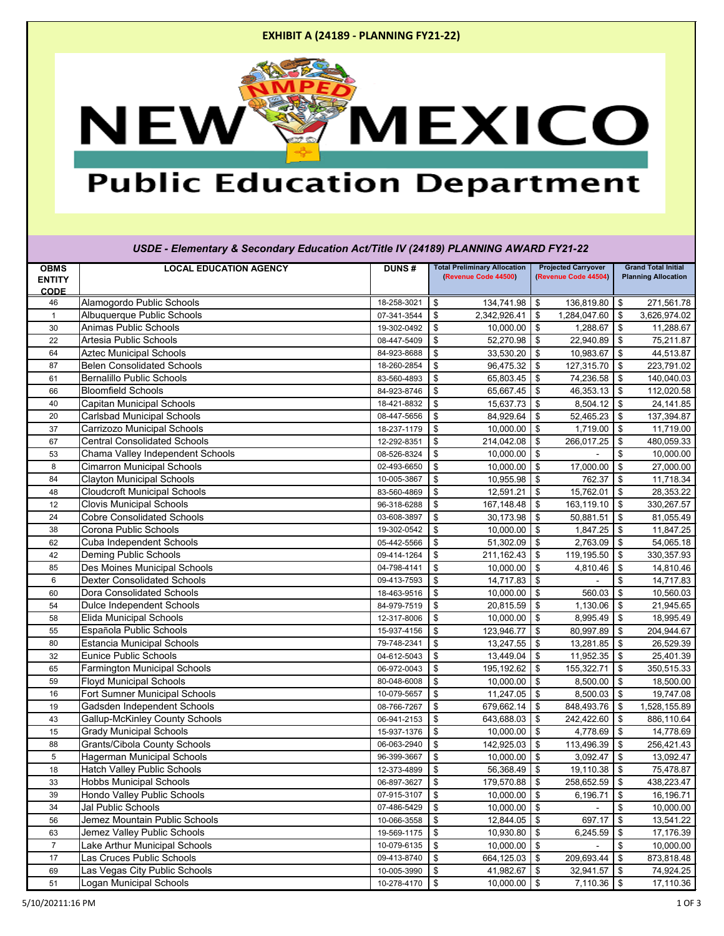### **EXHIBIT A (24189 - PLANNING FY21-22)**



## **Public Education Department**

| USDE - Elementary & Secondary Education Act/Title IV (24189) PLANNING AWARD FY21-22 |                                       |              |                                                             |                                                    |                                                          |  |
|-------------------------------------------------------------------------------------|---------------------------------------|--------------|-------------------------------------------------------------|----------------------------------------------------|----------------------------------------------------------|--|
| <b>OBMS</b><br><b>ENTITY</b><br><b>CODE</b>                                         | <b>LOCAL EDUCATION AGENCY</b>         | <b>DUNS#</b> | <b>Total Preliminary Allocation</b><br>(Revenue Code 44500) | <b>Projected Carryover</b><br>(Revenue Code 44504) | <b>Grand Total Initial</b><br><b>Planning Allocation</b> |  |
| 46                                                                                  | Alamogordo Public Schools             | 18-258-3021  | 134,741.98<br>\$                                            | $\sqrt[6]{3}$<br>136,819.80                        | 271,561.78<br>$\sqrt{3}$                                 |  |
|                                                                                     | Albuquerque Public Schools            | 07-341-3544  | \$<br>2,342,926.41                                          | 1,284,047.60<br>\$                                 | \$<br>3,626,974.02                                       |  |
| 30                                                                                  | <b>Animas Public Schools</b>          | 19-302-0492  | \$<br>$10,000.00$ \$                                        | 1,288.67                                           | \$<br>11,288.67                                          |  |
| 22                                                                                  | Artesia Public Schools                | 08-447-5409  | \$<br>$52,270.98$ \$                                        | 22,940.89                                          | $\sqrt[6]{3}$<br>75,211.87                               |  |
| 64                                                                                  | <b>Aztec Municipal Schools</b>        | 84-923-8688  | \$<br>33,530.20                                             | $\sqrt{3}$<br>10,983.67                            | $\sqrt{3}$<br>44,513.87                                  |  |
| 87                                                                                  | <b>Belen Consolidated Schools</b>     | 18-260-2854  | 96,475.32<br>\$                                             | \$<br>127,315.70                                   | $\sqrt[6]{3}$<br>223,791.02                              |  |
| 61                                                                                  | <b>Bernalillo Public Schools</b>      | 83-560-4893  | \$<br>65,803.45                                             | $\sqrt[6]{\frac{1}{2}}$<br>74,236.58               | $\sqrt[6]{\frac{1}{2}}$<br>140,040.03                    |  |
| 66                                                                                  | <b>Bloomfield Schools</b>             | 84-923-8746  | \$<br>65,667.45                                             | $\sqrt[6]{3}$<br>46,353.13                         | \$<br>112,020.58                                         |  |
| 40                                                                                  | <b>Capitan Municipal Schools</b>      | 18-421-8832  | \$<br>15,637.73                                             | 8,504.12<br>$\frac{1}{2}$                          | $\sqrt{3}$<br>24,141.85                                  |  |
| 20                                                                                  | <b>Carlsbad Municipal Schools</b>     | 08-447-5656  | \$<br>84,929.64                                             | $\sqrt[6]{3}$<br>52,465.23                         | \$<br>137,394.87                                         |  |
| 37                                                                                  | Carrizozo Municipal Schools           | 18-237-1179  | $\frac{1}{2}$<br>10,000.00                                  | $\sqrt[6]{3}$<br>1,719.00                          | $\sqrt[6]{\frac{1}{2}}$<br>11,719.00                     |  |
| 67                                                                                  | <b>Central Consolidated Schools</b>   | 12-292-8351  | \$<br>214,042.08                                            | \$<br>266,017.25                                   | $\sqrt[6]{\frac{1}{2}}$<br>480,059.33                    |  |
| 53                                                                                  | Chama Valley Independent Schools      | 08-526-8324  | \$<br>10,000.00                                             | $\sqrt[6]{3}$                                      | $\$\$<br>10,000.00                                       |  |
| 8                                                                                   | <b>Cimarron Municipal Schools</b>     | 02-493-6650  | \$<br>10,000.00                                             | $\sqrt[6]{3}$<br>17,000.00                         | $\sqrt[6]{3}$<br>27,000.00                               |  |
| 84                                                                                  | <b>Clayton Municipal Schools</b>      | 10-005-3867  | \$<br>10,955.98                                             | $\sqrt[6]{3}$<br>762.37                            | \$<br>11,718.34                                          |  |
| 48                                                                                  | <b>Cloudcroft Municipal Schools</b>   | 83-560-4869  | \$<br>12,591.21                                             | $\boldsymbol{\mathsf{S}}$<br>15,762.01             | $\sqrt[6]{3}$<br>28,353.22                               |  |
| 12                                                                                  | <b>Clovis Municipal Schools</b>       | 96-318-6288  | \$<br>167,148.48                                            | 163,119.10<br>$\frac{3}{2}$                        | \$<br>330,267.57                                         |  |
| 24                                                                                  | <b>Cobre Consolidated Schools</b>     | 03-608-3897  | \$<br>30,173.98                                             | \$<br>50,881.51                                    | $\sqrt[6]{3}$<br>81,055.49                               |  |
| 38                                                                                  | Corona Public Schools                 | 19-302-0542  | \$<br>10,000.00                                             | $\sqrt[6]{3}$<br>1,847.25                          | $\sqrt[6]{3}$<br>11,847.25                               |  |
| 62                                                                                  | <b>Cuba Independent Schools</b>       | 05-442-5566  | \$<br>$51,302.09$ \$                                        | 2,763.09                                           | $\boldsymbol{\mathsf{S}}$<br>54,065.18                   |  |
| 42                                                                                  | <b>Deming Public Schools</b>          | 09-414-1264  | \$<br>211,162.43                                            | $\boldsymbol{\mathsf{S}}$<br>119,195.50            | $\sqrt[6]{3}$<br>330,357.93                              |  |
| 85                                                                                  | Des Moines Municipal Schools          | 04-798-4141  | \$<br>10,000.00                                             | \$<br>4,810.46                                     | \$<br>14,810.46                                          |  |
| 6                                                                                   | <b>Dexter Consolidated Schools</b>    | 09-413-7593  | \$<br>14,717.83                                             | \$                                                 | $\$\$<br>14,717.83                                       |  |
| 60                                                                                  | <b>Dora Consolidated Schools</b>      | 18-463-9516  | \$<br>10,000.00                                             | \$<br>560.03                                       | $\boldsymbol{\mathsf{\$}}$<br>10,560.03                  |  |
| 54                                                                                  | <b>Dulce Independent Schools</b>      | 84-979-7519  | \$<br>20,815.59                                             | $\sqrt{3}$<br>1,130.06                             | $\sqrt{3}$<br>21,945.65                                  |  |
| 58                                                                                  | <b>Elida Municipal Schools</b>        | 12-317-8006  | \$<br>10,000.00                                             | \$<br>8,995.49                                     | $\sqrt[6]{\frac{1}{2}}$<br>18,995.49                     |  |
| 55                                                                                  | Española Public Schools               | 15-937-4156  | 123,946.77   \$<br>$\boldsymbol{\mathsf{s}}$                | 80,997.89                                          | \$<br>204,944.67                                         |  |
| 80                                                                                  | <b>Estancia Municipal Schools</b>     | 79-748-2341  | \$<br>$13,247.55$ \$                                        | $13,281.85$ \$                                     | 26,529.39                                                |  |
| 32                                                                                  | <b>Eunice Public Schools</b>          | 04-612-5043  | $13,449.04$ \$<br>\$                                        | $11,952.35$ \$                                     | 25,401.39                                                |  |
| 65                                                                                  | Farmington Municipal Schools          | 06-972-0043  | \$<br>195,192.62                                            | $\sqrt{3}$<br>155,322.71                           | \$<br>350,515.33                                         |  |
| 59                                                                                  | <b>Floyd Municipal Schools</b>        | 80-048-6008  | \$<br>10,000.00                                             | $\sqrt{3}$<br>8,500.00                             | \$<br>18,500.00                                          |  |
| 16                                                                                  | <b>Fort Sumner Municipal Schools</b>  | 10-079-5657  | \$<br>$11,247.05$ \$                                        | 8,500.03                                           | $\sqrt{3}$<br>19,747.08                                  |  |
| 19                                                                                  | Gadsden Independent Schools           | 08-766-7267  | 679,662.14 \$<br>\$                                         | 848,493.76                                         | \$<br>1,528,155.89                                       |  |
| 43                                                                                  | <b>Gallup-McKinley County Schools</b> | 06-941-2153  | 643,688.03<br>\$                                            | \$<br>242,422.60                                   | 886,110.64<br>\$                                         |  |
| 15                                                                                  | <b>Grady Municipal Schools</b>        | 15-937-1376  | \$<br>$10,000.00$ \$                                        | 4,778.69                                           | $\sqrt{3}$<br>14,778.69                                  |  |
| 88                                                                                  | <b>Grants/Cibola County Schools</b>   | 06-063-2940  | $\boldsymbol{\mathsf{S}}$<br>142,925.03                     | $\sqrt{3}$<br>113,496.39                           | $\sqrt[6]{3}$<br>256,421.43                              |  |
| 5                                                                                   | <b>Hagerman Municipal Schools</b>     | 96-399-3667  | $10,000.00$ \$<br>\$                                        | 3,092.47                                           | $\sqrt{3}$<br>13,092.47                                  |  |
| 18                                                                                  | <b>Hatch Valley Public Schools</b>    | 12-373-4899  | 56,368.49 \$<br>\$                                          | 19,110.38                                          | $\sqrt[6]{3}$<br>75,478.87                               |  |
| 33                                                                                  | <b>Hobbs Municipal Schools</b>        | 06-897-3627  | 179,570.88<br>\$                                            | 258,652.59<br>\$                                   | \$<br>438,223.47                                         |  |
| 39                                                                                  | Hondo Valley Public Schools           | 07-915-3107  | \$<br>10,000.00                                             | $\sqrt[6]{3}$<br>6,196.71                          | \$<br>16,196.71                                          |  |
| 34                                                                                  | Jal Public Schools                    | 07-486-5429  | \$<br>10,000.00                                             | $\sqrt[6]{3}$                                      | \$<br>10,000.00                                          |  |
| 56                                                                                  | Jemez Mountain Public Schools         | 10-066-3558  | \$<br>12,844.05                                             | $\sqrt{3}$<br>697.17                               | \$<br>13,541.22                                          |  |
| 63                                                                                  | Jemez Valley Public Schools           | 19-569-1175  | $\boldsymbol{\mathsf{S}}$<br>10,930.80                      | $\sqrt[6]{3}$<br>6,245.59                          | 17,176.39<br>\$                                          |  |
| $\overline{7}$                                                                      | Lake Arthur Municipal Schools         | 10-079-6135  | 10,000.00<br>\$                                             | $\sqrt[6]{3}$                                      | \$<br>10,000.00                                          |  |
| 17                                                                                  | Las Cruces Public Schools             | 09-413-8740  | \$<br>664,125.03                                            | $\sqrt[6]{3}$<br>209,693.44                        | \$<br>873,818.48                                         |  |
| 69                                                                                  | Las Vegas City Public Schools         | 10-005-3990  | \$<br>41,982.67 $\vert$ \$                                  | 32,941.57                                          | 74,924.25<br>$\sqrt{3}$                                  |  |
| 51                                                                                  | Logan Municipal Schools               | 10-278-4170  | $10,000.00$ \$<br>$\sqrt{3}$                                | $7,110.36$ \$                                      | 17,110.36                                                |  |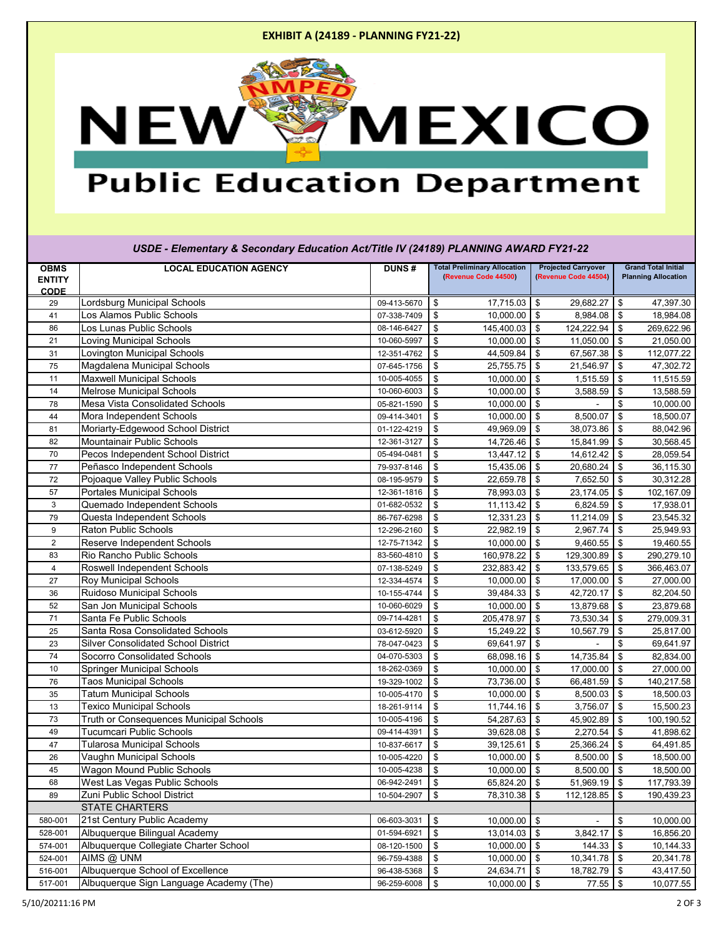### **EXHIBIT A (24189 - PLANNING FY21-22)**



# **Public Education Department**

| USDE - Elementary & Secondary Education Act/Title IV (24189) PLANNING AWARD FY21-22 |                                            |              |                                                             |                                                    |                                                          |  |
|-------------------------------------------------------------------------------------|--------------------------------------------|--------------|-------------------------------------------------------------|----------------------------------------------------|----------------------------------------------------------|--|
| <b>OBMS</b><br><b>ENTITY</b><br><b>CODE</b>                                         | <b>LOCAL EDUCATION AGENCY</b>              | <b>DUNS#</b> | <b>Total Preliminary Allocation</b><br>(Revenue Code 44500) | <b>Projected Carryover</b><br>(Revenue Code 44504) | <b>Grand Total Initial</b><br><b>Planning Allocation</b> |  |
| 29                                                                                  | Lordsburg Municipal Schools                | 09-413-5670  | \$<br>17,715.03                                             | $\sqrt{3}$<br>29,682.27                            | 47,397.30<br>\$                                          |  |
| 41                                                                                  | Los Alamos Public Schools                  | 07-338-7409  | \$<br>10,000.00                                             | $\sqrt[6]{3}$<br>8,984.08                          | $\sqrt{3}$<br>18,984.08                                  |  |
| 86                                                                                  | Los Lunas Public Schools                   | 08-146-6427  | \$<br>145,400.03                                            | $\sqrt{3}$<br>124,222.94                           | $\sqrt{3}$<br>269,622.96                                 |  |
| 21                                                                                  | <b>Loving Municipal Schools</b>            | 10-060-5997  | $\sqrt[6]{\frac{1}{2}}$<br>10,000.00                        | 11,050.00<br>$\sqrt[6]{3}$                         | \$<br>21,050.00                                          |  |
| 31                                                                                  | <b>Lovington Municipal Schools</b>         | 12-351-4762  | \$<br>44,509.84                                             | 67,567.38<br>\$                                    | \$<br>112,077.22                                         |  |
| 75                                                                                  | Magdalena Municipal Schools                | 07-645-1756  | $\sqrt[6]{3}$<br>25,755.75                                  | $\sqrt[6]{3}$<br>21,546.97                         | $\sqrt[6]{3}$<br>47,302.72                               |  |
| 11                                                                                  | <b>Maxwell Municipal Schools</b>           | 10-005-4055  | \$<br>10,000.00                                             | $\frac{3}{2}$<br>1,515.59                          | $\sqrt[6]{\frac{1}{2}}$<br>11,515.59                     |  |
| 14                                                                                  | <b>Melrose Municipal Schools</b>           | 10-060-6003  | $\frac{1}{2}$<br>10,000.00                                  | $\sqrt[6]{3}$<br>3,588.59                          | $\sqrt[6]{\frac{1}{2}}$<br>13,588.59                     |  |
| 78                                                                                  | <b>Mesa Vista Consolidated Schools</b>     | 05-821-1590  | $\sqrt[6]{\frac{1}{2}}$<br>10,000.00                        | \$                                                 | $\$\$<br>10,000.00                                       |  |
| 44                                                                                  | Mora Independent Schools                   | 09-414-3401  | $\frac{1}{2}$<br>10,000.00                                  | $\sqrt[6]{3}$<br>8,500.07                          | \$<br>18,500.07                                          |  |
| 81                                                                                  | Moriarty-Edgewood School District          | 01-122-4219  | $\sqrt[6]{3}$<br>49,969.09                                  | $\sqrt[6]{3}$<br>38,073.86                         | \$<br>88,042.96                                          |  |
| 82                                                                                  | <b>Mountainair Public Schools</b>          | 12-361-3127  | $\frac{1}{2}$<br>14,726.46                                  | $\sqrt[6]{3}$<br>15,841.99                         | \$<br>30,568.45                                          |  |
| 70                                                                                  | Pecos Independent School District          | 05-494-0481  | $\frac{1}{2}$<br>13,447.12                                  | \$<br>14,612.42                                    | \$<br>28,059.54                                          |  |
| 77                                                                                  | Peñasco Independent Schools                | 79-937-8146  | $\sqrt[6]{\frac{1}{2}}$<br>15,435.06                        | $\sqrt[6]{3}$<br>20,680.24                         | $\sqrt{3}$<br>36,115.30                                  |  |
| 72                                                                                  | Pojoaque Valley Public Schools             | 08-195-9579  | $\frac{1}{2}$<br>22,659.78                                  | $\sqrt{3}$<br>7,652.50                             | \$<br>30,312.28                                          |  |
| 57                                                                                  | <b>Portales Municipal Schools</b>          | 12-361-1816  | $\sqrt[6]{3}$<br>78,993.03                                  | $\sqrt[6]{3}$<br>23,174.05                         | \$<br>102,167.09                                         |  |
| 3                                                                                   | Quemado Independent Schools                | 01-682-0532  | \$<br>11,113.42                                             | $\sqrt[6]{3}$<br>6,824.59                          | \$<br>17,938.01                                          |  |
| 79                                                                                  | Questa Independent Schools                 | 86-767-6298  | $\frac{1}{2}$<br>12,331.23                                  | $\sqrt[6]{3}$<br>11,214.09                         | \$<br>23,545.32                                          |  |
| 9                                                                                   | Raton Public Schools                       | 12-296-2160  | $\sqrt[6]{\frac{1}{2}}$<br>22,982.19                        | \$<br>2,967.74                                     | $\sqrt{3}$<br>25,949.93                                  |  |
| $\overline{2}$                                                                      | <b>Reserve Independent Schools</b>         | 12-75-71342  | $\frac{1}{2}$<br>10,000.00                                  | 9,460.55<br>$\sqrt{3}$                             | \$<br>19,460.55                                          |  |
| 83                                                                                  | Rio Rancho Public Schools                  | 83-560-4810  | $\sqrt[6]{\frac{1}{2}}$<br>160,978.22                       | \$<br>129,300.89                                   | $\frac{1}{2}$<br>290,279.10                              |  |
| 4                                                                                   | <b>Roswell Independent Schools</b>         | 07-138-5249  | $\frac{1}{2}$<br>232,883.42                                 | 133,579.65<br>\$                                   | $\sqrt[6]{\frac{1}{2}}$<br>366,463.07                    |  |
| 27                                                                                  | <b>Roy Municipal Schools</b>               | 12-334-4574  | $\sqrt[6]{2}$<br>10,000.00                                  | $\sqrt[6]{3}$<br>17,000.00                         | $\sqrt[6]{3}$<br>27,000.00                               |  |
| 36                                                                                  | <b>Ruidoso Municipal Schools</b>           | 10-155-4744  | $\frac{1}{2}$<br>39,484.33                                  | \$<br>42,720.17                                    | $\sqrt{3}$<br>82,204.50                                  |  |
| 52                                                                                  | San Jon Municipal Schools                  | 10-060-6029  | $\frac{1}{2}$<br>10,000.00                                  | $\sqrt{3}$<br>13,879.68                            | $\sqrt{3}$<br>23,879.68                                  |  |
| 71                                                                                  | Santa Fe Public Schools                    | 09-714-4281  | $\sqrt[6]{\frac{1}{2}}$<br>205,478.97                       | 73,530.34<br>\$                                    | $\vert \$$<br>279,009.31                                 |  |
| 25                                                                                  | Santa Rosa Consolidated Schools            | 03-612-5920  | l \$<br>15,249.22   \$                                      | 10,567.79                                          | $\sqrt{3}$<br>25,817.00                                  |  |
| 23                                                                                  | <b>Silver Consolidated School District</b> | 78-047-0423  | $\sqrt[6]{3}$<br>69,641.97 $\frac{1}{9}$                    |                                                    | $\sqrt[6]{3}$<br>69,641.97                               |  |
| 74                                                                                  | <b>Socorro Consolidated Schools</b>        | 04-070-5303  | 68,098.16<br>$\boldsymbol{\mathsf{\$}}$                     | $\sqrt[6]{3}$<br>14,735.84                         | $\sqrt{3}$<br>82,834.00                                  |  |
| 10                                                                                  | <b>Springer Municipal Schools</b>          | 18-262-0369  | $\boldsymbol{\mathsf{\$}}$<br>$10,000.00$ \$                | 17,000.00                                          | $\sqrt{3}$<br>27,000.00                                  |  |
| 76                                                                                  | <b>Taos Municipal Schools</b>              | 19-329-1002  | $\sqrt[6]{3}$<br>73,736.00                                  | $\sqrt{3}$<br>66,481.59                            | $\sqrt{3}$<br>140,217.58                                 |  |
| 35                                                                                  | <b>Tatum Municipal Schools</b>             | 10-005-4170  | 10,000.00<br>$\sqrt[6]{3}$                                  | $\sqrt{3}$<br>8,500.03                             | $\sqrt{3}$<br>18,500.03                                  |  |
| 13                                                                                  | <b>Texico Municipal Schools</b>            | 18-261-9114  | $11,744.16$ \$<br>$\sqrt[6]{3}$                             | 3,756.07                                           | $\sqrt{3}$<br>15,500.23                                  |  |
| 73                                                                                  | Truth or Consequences Municipal Schools    | 10-005-4196  | 54,287.63<br>$\frac{1}{2}$                                  | $\sqrt[6]{3}$<br>45,902.89                         | $\sqrt[6]{\frac{1}{2}}$<br>100,190.52                    |  |
| 49                                                                                  | <b>Tucumcari Public Schools</b>            | 09-414-4391  | $\frac{3}{2}$<br>39,628.08                                  | $\sqrt[6]{3}$<br>2,270.54                          | $\sqrt{3}$<br>41,898.62                                  |  |
| 47                                                                                  | <b>Tularosa Municipal Schools</b>          | 10-837-6617  | $\sqrt[6]{3}$<br>39,125.61                                  | 25,366.24<br>$\sqrt[6]{3}$                         | $\sqrt{3}$<br>64,491.85                                  |  |
| 26                                                                                  | Vaughn Municipal Schools                   | 10-005-4220  | 10,000.00<br>$\boldsymbol{\mathsf{S}}$                      | \$<br>8,500.00                                     | $\sqrt{3}$<br>18,500.00                                  |  |
| 45                                                                                  | Wagon Mound Public Schools                 | 10-005-4238  | 10,000.00<br>$\sqrt[6]{3}$                                  | $\sqrt{3}$<br>8,500.00                             | 18,500.00<br>$\sqrt{3}$                                  |  |
| 68                                                                                  | West Las Vegas Public Schools              | 06-942-2491  | 65,824.20<br>$\frac{1}{2}$                                  | $\sqrt[6]{3}$<br>51,969.19                         | $\sqrt{3}$<br>117,793.39                                 |  |
| 89                                                                                  | Zuni Public School District                | 10-504-2907  | $\sqrt{3}$<br>78,310.38                                     | $$^{\circ}$<br>112,128.85                          | $\sqrt{3}$<br>190,439.23                                 |  |
|                                                                                     | <b>STATE CHARTERS</b>                      |              |                                                             |                                                    |                                                          |  |
| 580-001                                                                             | 21st Century Public Academy                | 06-603-3031  | $\sqrt[6]{3}$<br>10,000.00                                  | $\sqrt{3}$                                         | \$<br>10,000.00                                          |  |
| 528-001                                                                             | Albuquerque Bilingual Academy              | 01-594-6921  | $\sqrt[6]{3}$<br>13,014.03                                  | $\sqrt{3}$<br>3,842.17                             | $\sqrt{3}$<br>16,856.20                                  |  |
| 574-001                                                                             | Albuquerque Collegiate Charter School      | 08-120-1500  | 10,000.00<br>$\frac{1}{2}$                                  | $\sqrt[6]{3}$<br>144.33                            | $\sqrt{3}$<br>10,144.33                                  |  |
| 524-001                                                                             | AIMS @ UNM                                 | 96-759-4388  | $10,000.00$ \$<br>$\frac{1}{2}$                             | $10,341.78$ \$                                     | 20,341.78                                                |  |
| 516-001                                                                             | Albuquerque School of Excellence           | 96-438-5368  | $\vert$ \$<br>$24,634.71$ \$                                | 18,782.79 \$                                       | 43,417.50                                                |  |
| 517-001                                                                             | Albuquerque Sign Language Academy (The)    | 96-259-6008  | $\vert$ \$<br>$10,000.00$ \$                                | 77.55 \$                                           | 10,077.55                                                |  |